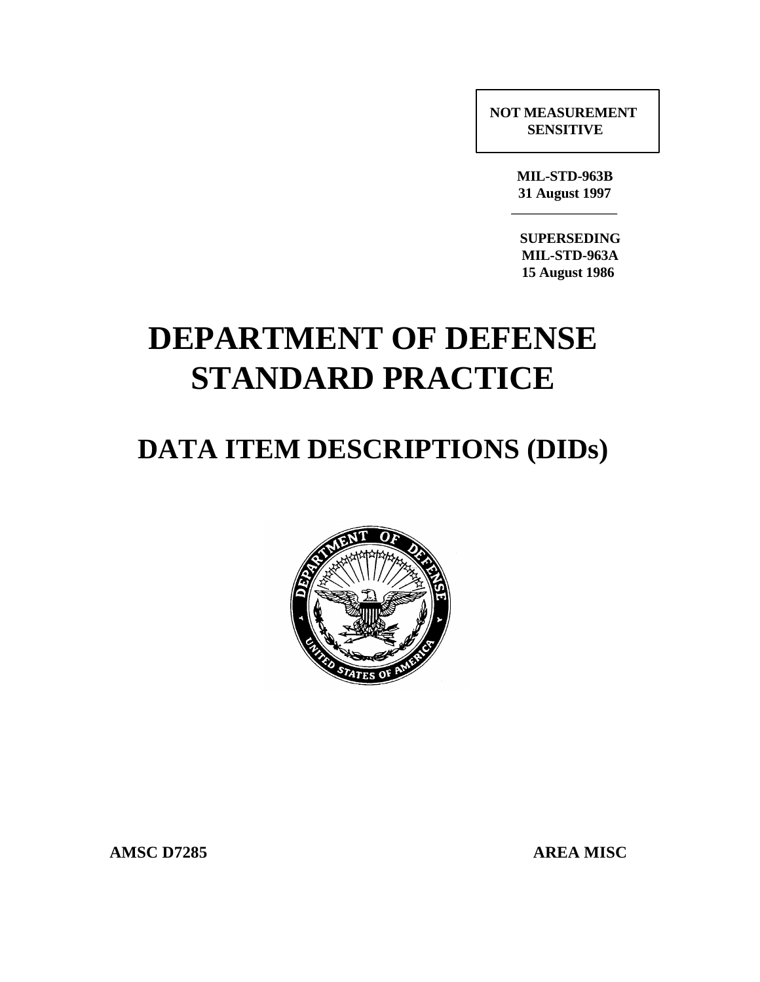**NOT MEASUREMENT SENSITIVE**

> **MIL-STD-963B 31 August 1997 \_\_\_\_\_\_\_\_\_\_\_\_\_\_\_\_\_\_**

 **SUPERSEDING MIL-STD-963A 15 August 1986**

# **DEPARTMENT OF DEFENSE STANDARD PRACTICE**

## **DATA ITEM DESCRIPTIONS (DIDs)**



AMSC D7285 AREA MISC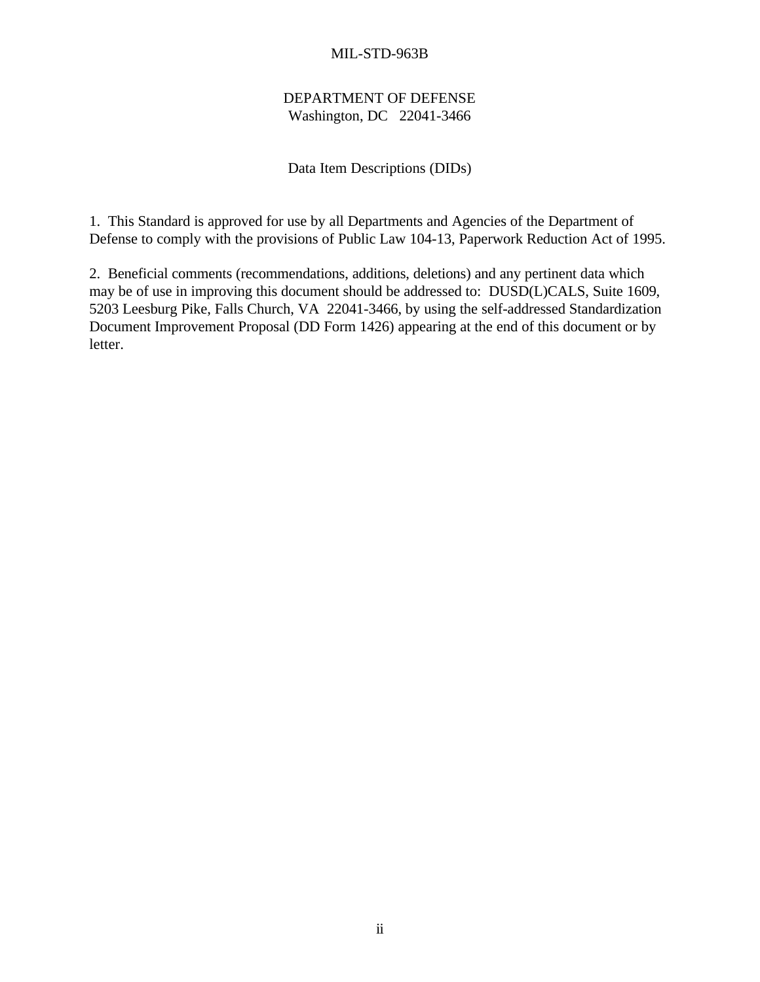## DEPARTMENT OF DEFENSE Washington, DC 22041-3466

## Data Item Descriptions (DIDs)

1. This Standard is approved for use by all Departments and Agencies of the Department of Defense to comply with the provisions of Public Law 104-13, Paperwork Reduction Act of 1995.

2. Beneficial comments (recommendations, additions, deletions) and any pertinent data which may be of use in improving this document should be addressed to: DUSD(L)CALS, Suite 1609, 5203 Leesburg Pike, Falls Church, VA 22041-3466, by using the self-addressed Standardization Document Improvement Proposal (DD Form 1426) appearing at the end of this document or by letter.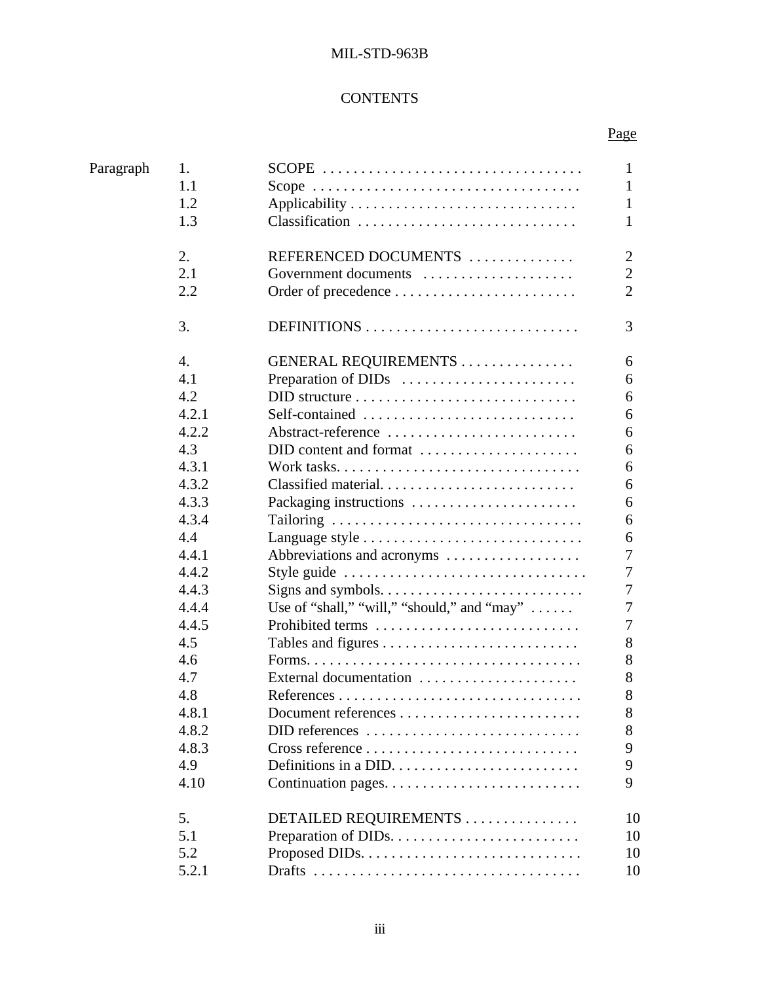## **CONTENTS**

Page

| Paragraph<br>1.<br>$SCOPE$<br>1.1                                                | 1<br>1         |
|----------------------------------------------------------------------------------|----------------|
|                                                                                  |                |
| 1.2                                                                              |                |
| Classification<br>1.3                                                            | 1<br>1         |
|                                                                                  |                |
| 2.<br>REFERENCED DOCUMENTS                                                       | $\overline{2}$ |
| 2.1<br>Government documents                                                      | $\overline{2}$ |
| 2.2                                                                              | $\overline{2}$ |
| 3.<br>DEFINITIONS                                                                | 3              |
| 4.<br>GENERAL REQUIREMENTS                                                       | 6              |
| 4.1<br>Preparation of DIDs                                                       | 6              |
| 4.2<br>$DID$ structure $\ldots \ldots \ldots \ldots \ldots \ldots \ldots \ldots$ | 6              |
| 4.2.1<br>Self-contained                                                          | 6              |
| 4.2.2<br>Abstract-reference                                                      | 6              |
| 4.3<br>DID content and format                                                    | 6              |
| 4.3.1                                                                            | 6              |
| 4.3.2<br>Classified material                                                     | 6              |
| 4.3.3<br>Packaging instructions                                                  | 6              |
| 4.3.4                                                                            | 6              |
| 4.4                                                                              | 6              |
| 4.4.1<br>Abbreviations and acronyms                                              | 7              |
| 4.4.2<br>Style guide                                                             | 7              |
| 4.4.3<br>Signs and symbols. $\dots \dots \dots \dots \dots \dots \dots \dots$    | 7              |
| Use of "shall," "will," "should," and "may" $\dots$ .<br>4.4.4                   | 7              |
| 4.4.5<br>Prohibited terms                                                        | 7              |
| 4.5                                                                              | 8              |
| 4.6                                                                              | 8              |
| 4.7<br>External documentation                                                    | 8              |
| 4.8                                                                              | 8              |
| 4.8.1                                                                            | 8              |
| 4.8.2<br>DID references                                                          | 8              |
| 4.8.3                                                                            | 9              |
| 4.9                                                                              | 9              |
| 4.10                                                                             | 9              |
| 5.<br>DETAILED REQUIREMENTS                                                      | 10             |
| 5.1                                                                              | 10             |
| 5.2                                                                              | 10             |
| 5.2.1                                                                            | 10             |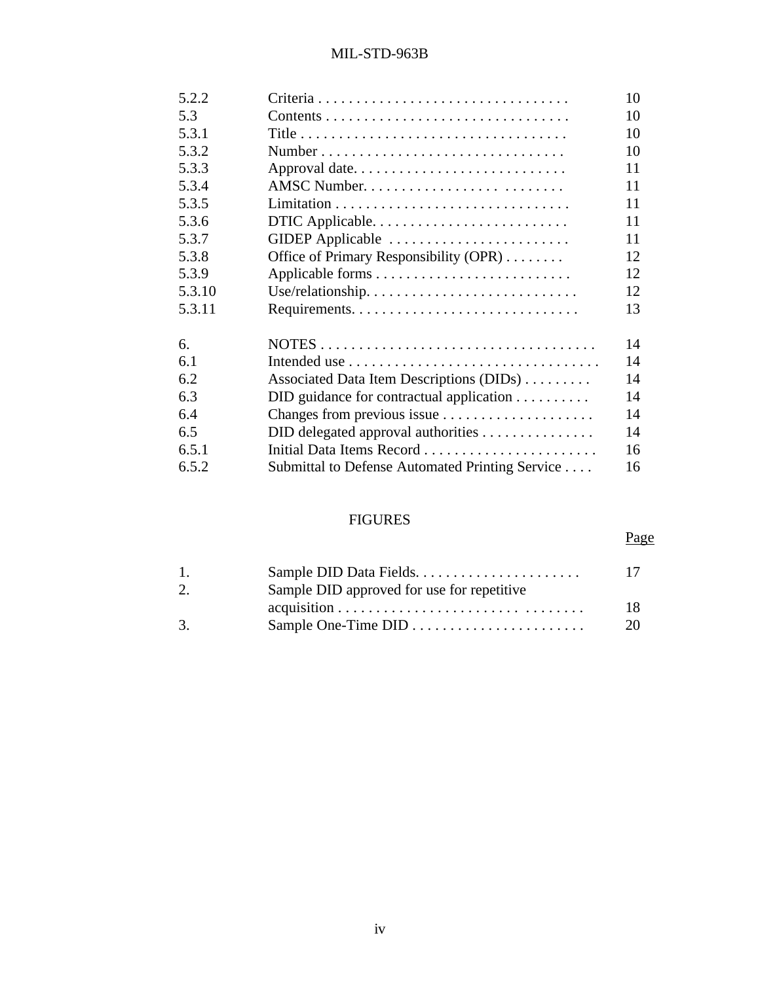| 5.2.2  |                                                                    | 10 |
|--------|--------------------------------------------------------------------|----|
| 5.3    |                                                                    | 10 |
| 5.3.1  |                                                                    | 10 |
| 5.3.2  | Number                                                             | 10 |
| 5.3.3  | Approval date                                                      | 11 |
| 5.3.4  | AMSC Number                                                        | 11 |
| 5.3.5  |                                                                    | 11 |
| 5.3.6  | DTIC Applicable                                                    | 11 |
| 5.3.7  | GIDEP Applicable                                                   | 11 |
| 5.3.8  | Office of Primary Responsibility (OPR)                             | 12 |
| 5.3.9  |                                                                    | 12 |
| 5.3.10 |                                                                    | 12 |
| 5.3.11 |                                                                    | 13 |
| 6.     |                                                                    | 14 |
| 6.1    |                                                                    | 14 |
| 6.2    | Associated Data Item Descriptions (DIDs)                           | 14 |
| 6.3    | $DID$ guidance for contractual application $\ldots \ldots \ldots$  | 14 |
| 6.4    | Changes from previous issue                                        | 14 |
| 6.5    | $DID$ delegated approval authorities $\ldots \ldots \ldots \ldots$ | 14 |
| 6.5.1  | Initial Data Items Record                                          | 16 |
| 6.5.2  | Submittal to Defense Automated Printing Service                    | 16 |
|        |                                                                    |    |

## FIGURES

## Page

| $\mathbf{1}$ . |                                                                                     | $\Box$ |
|----------------|-------------------------------------------------------------------------------------|--------|
| 2.             | Sample DID approved for use for repetitive                                          |        |
|                | $acquisition \ldots \ldots \ldots \ldots \ldots \ldots \ldots \ldots \ldots \ldots$ | 18     |
| 3.             |                                                                                     | 20     |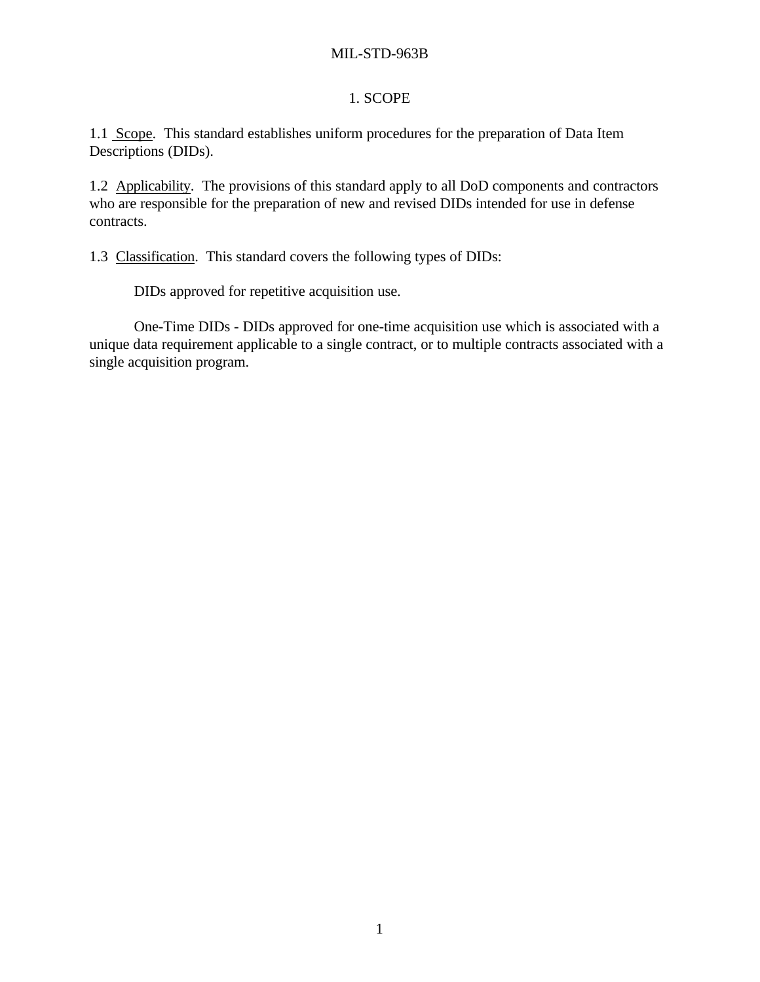## 1. SCOPE

1.1 Scope. This standard establishes uniform procedures for the preparation of Data Item Descriptions (DIDs).

1.2 Applicability. The provisions of this standard apply to all DoD components and contractors who are responsible for the preparation of new and revised DIDs intended for use in defense contracts.

1.3 Classification. This standard covers the following types of DIDs:

DIDs approved for repetitive acquisition use.

One-Time DIDs - DIDs approved for one-time acquisition use which is associated with a unique data requirement applicable to a single contract, or to multiple contracts associated with a single acquisition program.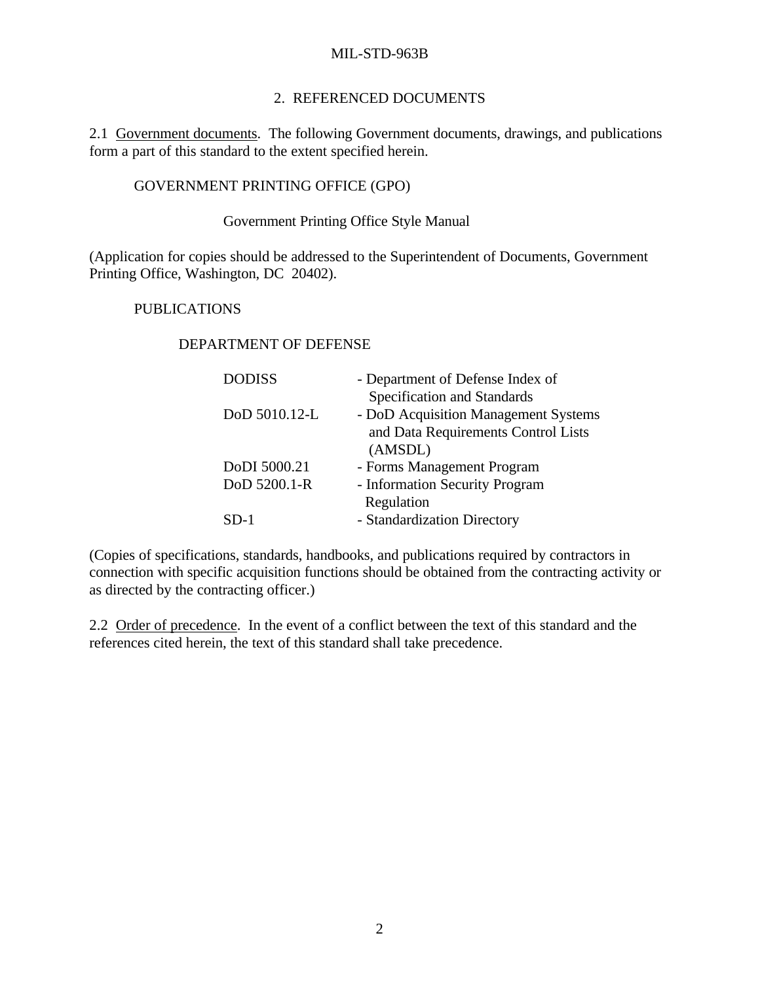#### 2. REFERENCED DOCUMENTS

2.1 Government documents. The following Government documents, drawings, and publications form a part of this standard to the extent specified herein.

#### GOVERNMENT PRINTING OFFICE (GPO)

### Government Printing Office Style Manual

(Application for copies should be addressed to the Superintendent of Documents, Government Printing Office, Washington, DC 20402).

#### PUBLICATIONS

#### DEPARTMENT OF DEFENSE

| <b>DODISS</b> | - Department of Defense Index of     |
|---------------|--------------------------------------|
|               | Specification and Standards          |
| DoD 5010.12-L | - DoD Acquisition Management Systems |
|               | and Data Requirements Control Lists  |
|               | (AMSDL)                              |
| DoDI 5000.21  | - Forms Management Program           |
| DoD 5200.1-R  | - Information Security Program       |
|               | Regulation                           |
| SD-1          | - Standardization Directory          |

(Copies of specifications, standards, handbooks, and publications required by contractors in connection with specific acquisition functions should be obtained from the contracting activity or as directed by the contracting officer.)

2.2 Order of precedence. In the event of a conflict between the text of this standard and the references cited herein, the text of this standard shall take precedence.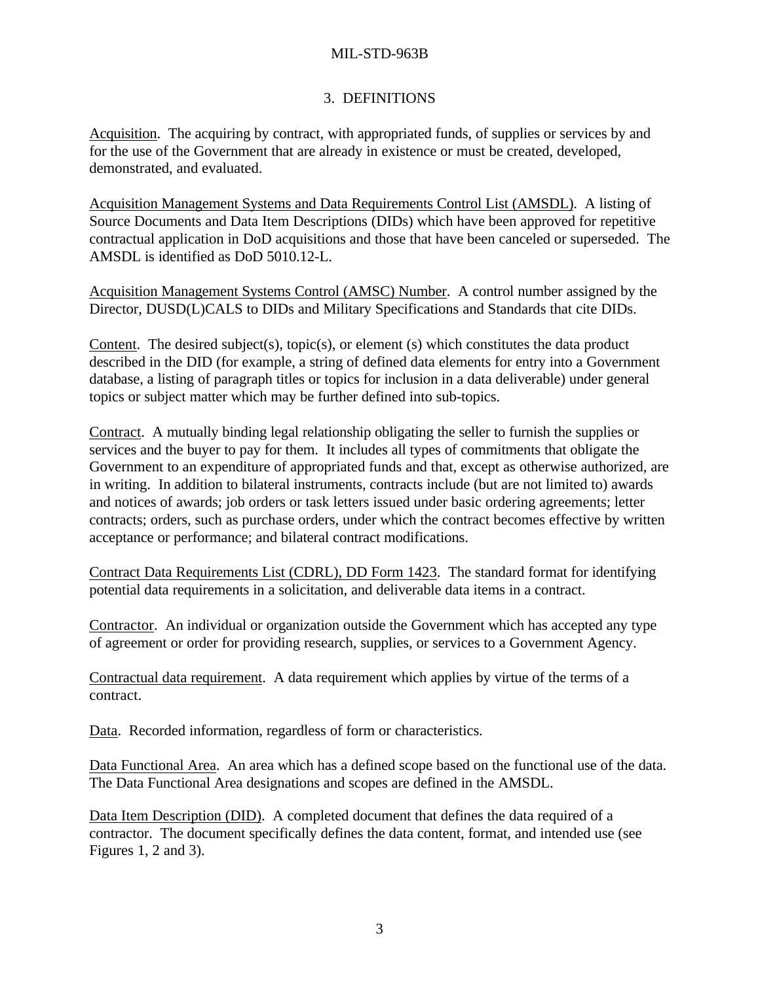## 3. DEFINITIONS

Acquisition. The acquiring by contract, with appropriated funds, of supplies or services by and for the use of the Government that are already in existence or must be created, developed, demonstrated, and evaluated.

Acquisition Management Systems and Data Requirements Control List (AMSDL). A listing of Source Documents and Data Item Descriptions (DIDs) which have been approved for repetitive contractual application in DoD acquisitions and those that have been canceled or superseded. The AMSDL is identified as DoD 5010.12-L.

Acquisition Management Systems Control (AMSC) Number. A control number assigned by the Director, DUSD(L)CALS to DIDs and Military Specifications and Standards that cite DIDs.

Content. The desired subject(s), topic(s), or element (s) which constitutes the data product described in the DID (for example, a string of defined data elements for entry into a Government database, a listing of paragraph titles or topics for inclusion in a data deliverable) under general topics or subject matter which may be further defined into sub-topics.

Contract. A mutually binding legal relationship obligating the seller to furnish the supplies or services and the buyer to pay for them. It includes all types of commitments that obligate the Government to an expenditure of appropriated funds and that, except as otherwise authorized, are in writing. In addition to bilateral instruments, contracts include (but are not limited to) awards and notices of awards; job orders or task letters issued under basic ordering agreements; letter contracts; orders, such as purchase orders, under which the contract becomes effective by written acceptance or performance; and bilateral contract modifications.

Contract Data Requirements List (CDRL), DD Form 1423. The standard format for identifying potential data requirements in a solicitation, and deliverable data items in a contract.

Contractor. An individual or organization outside the Government which has accepted any type of agreement or order for providing research, supplies, or services to a Government Agency.

Contractual data requirement. A data requirement which applies by virtue of the terms of a contract.

Data. Recorded information, regardless of form or characteristics.

Data Functional Area. An area which has a defined scope based on the functional use of the data. The Data Functional Area designations and scopes are defined in the AMSDL.

Data Item Description (DID). A completed document that defines the data required of a contractor. The document specifically defines the data content, format, and intended use (see Figures 1, 2 and 3).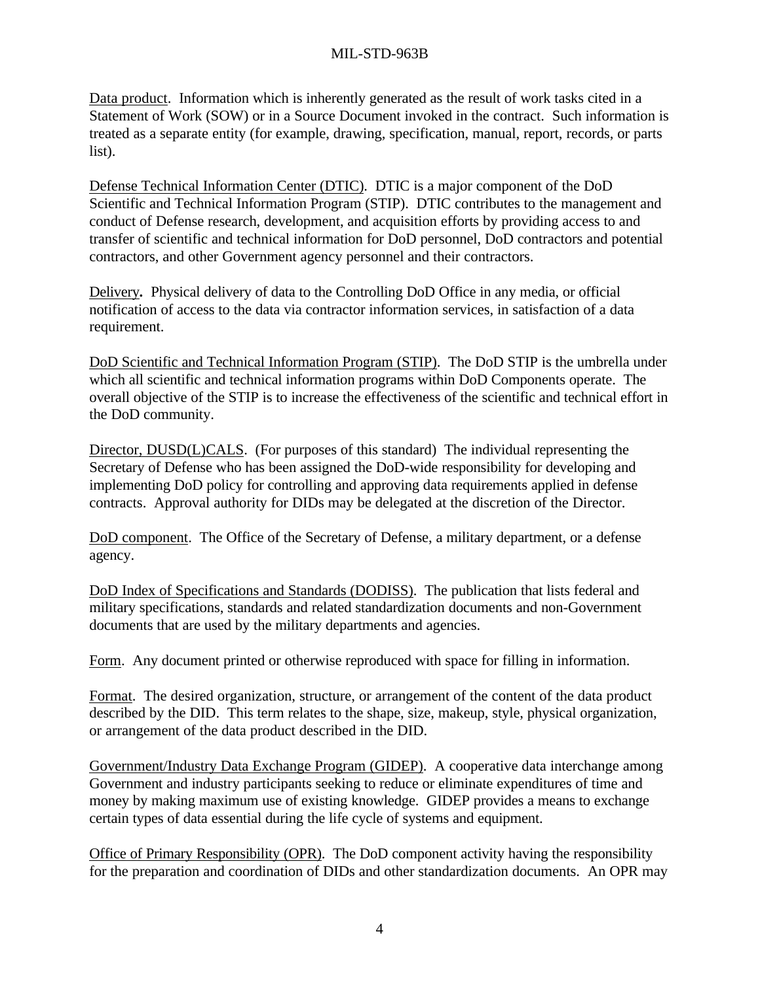Data product. Information which is inherently generated as the result of work tasks cited in a Statement of Work (SOW) or in a Source Document invoked in the contract. Such information is treated as a separate entity (for example, drawing, specification, manual, report, records, or parts list).

Defense Technical Information Center (DTIC). DTIC is a major component of the DoD Scientific and Technical Information Program (STIP). DTIC contributes to the management and conduct of Defense research, development, and acquisition efforts by providing access to and transfer of scientific and technical information for DoD personnel, DoD contractors and potential contractors, and other Government agency personnel and their contractors.

Delivery**.** Physical delivery of data to the Controlling DoD Office in any media, or official notification of access to the data via contractor information services, in satisfaction of a data requirement.

DoD Scientific and Technical Information Program (STIP). The DoD STIP is the umbrella under which all scientific and technical information programs within DoD Components operate. The overall objective of the STIP is to increase the effectiveness of the scientific and technical effort in the DoD community.

Director, DUSD(L)CALS. (For purposes of this standard) The individual representing the Secretary of Defense who has been assigned the DoD-wide responsibility for developing and implementing DoD policy for controlling and approving data requirements applied in defense contracts. Approval authority for DIDs may be delegated at the discretion of the Director.

DoD component. The Office of the Secretary of Defense, a military department, or a defense agency.

DoD Index of Specifications and Standards (DODISS). The publication that lists federal and military specifications, standards and related standardization documents and non-Government documents that are used by the military departments and agencies.

Form. Any document printed or otherwise reproduced with space for filling in information.

Format. The desired organization, structure, or arrangement of the content of the data product described by the DID. This term relates to the shape, size, makeup, style, physical organization, or arrangement of the data product described in the DID.

Government/Industry Data Exchange Program (GIDEP). A cooperative data interchange among Government and industry participants seeking to reduce or eliminate expenditures of time and money by making maximum use of existing knowledge. GIDEP provides a means to exchange certain types of data essential during the life cycle of systems and equipment.

Office of Primary Responsibility (OPR). The DoD component activity having the responsibility for the preparation and coordination of DIDs and other standardization documents. An OPR may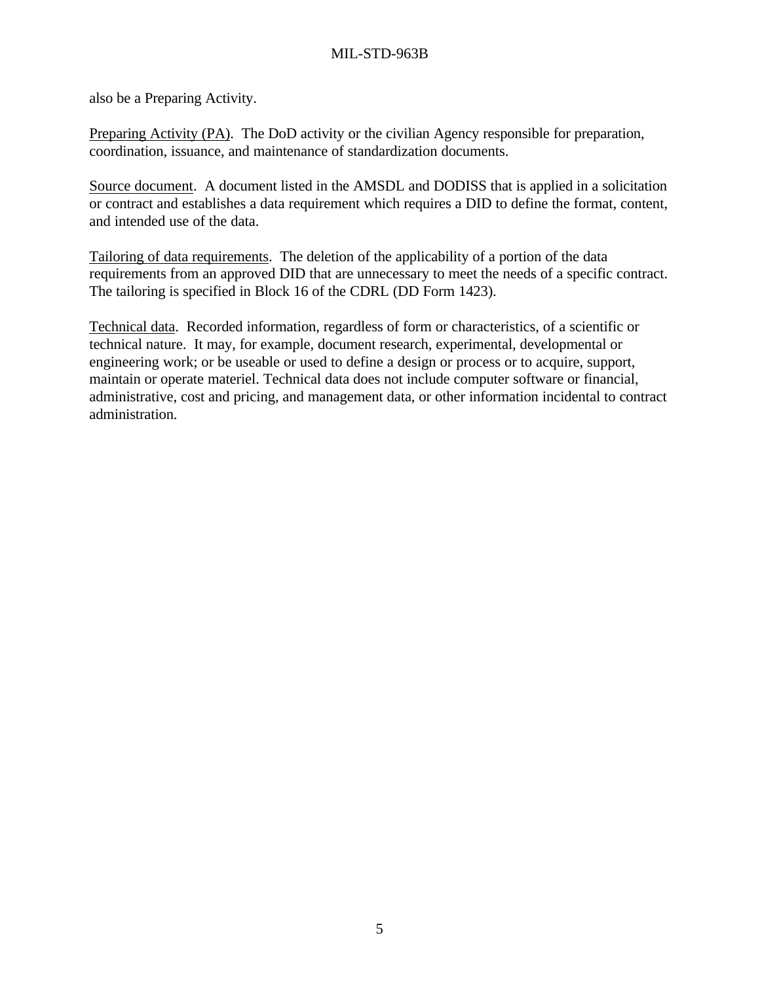also be a Preparing Activity.

Preparing Activity (PA). The DoD activity or the civilian Agency responsible for preparation, coordination, issuance, and maintenance of standardization documents.

Source document. A document listed in the AMSDL and DODISS that is applied in a solicitation or contract and establishes a data requirement which requires a DID to define the format, content, and intended use of the data.

Tailoring of data requirements. The deletion of the applicability of a portion of the data requirements from an approved DID that are unnecessary to meet the needs of a specific contract. The tailoring is specified in Block 16 of the CDRL (DD Form 1423).

Technical data. Recorded information, regardless of form or characteristics, of a scientific or technical nature. It may, for example, document research, experimental, developmental or engineering work; or be useable or used to define a design or process or to acquire, support, maintain or operate materiel. Technical data does not include computer software or financial, administrative, cost and pricing, and management data, or other information incidental to contract administration.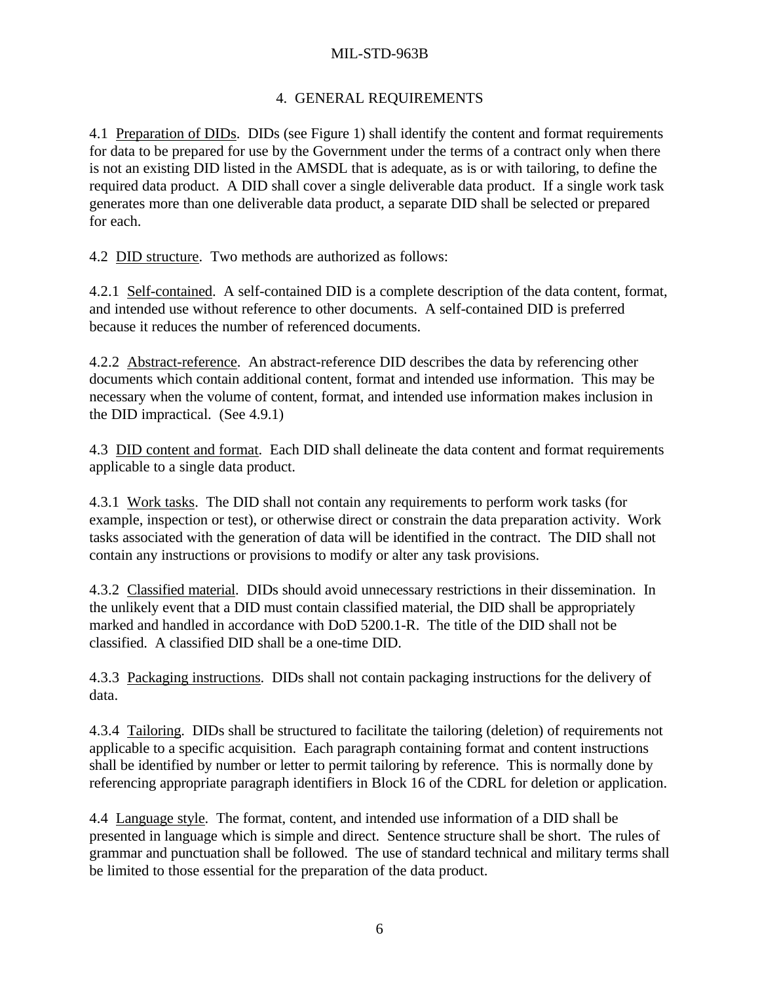## 4. GENERAL REQUIREMENTS

4.1 Preparation of DIDs. DIDs (see Figure 1) shall identify the content and format requirements for data to be prepared for use by the Government under the terms of a contract only when there is not an existing DID listed in the AMSDL that is adequate, as is or with tailoring, to define the required data product. A DID shall cover a single deliverable data product. If a single work task generates more than one deliverable data product, a separate DID shall be selected or prepared for each.

4.2 DID structure. Two methods are authorized as follows:

4.2.1 Self-contained. A self-contained DID is a complete description of the data content, format, and intended use without reference to other documents. A self-contained DID is preferred because it reduces the number of referenced documents.

4.2.2 Abstract-reference. An abstract-reference DID describes the data by referencing other documents which contain additional content, format and intended use information. This may be necessary when the volume of content, format, and intended use information makes inclusion in the DID impractical. (See 4.9.1)

4.3 DID content and format. Each DID shall delineate the data content and format requirements applicable to a single data product.

4.3.1 Work tasks. The DID shall not contain any requirements to perform work tasks (for example, inspection or test), or otherwise direct or constrain the data preparation activity. Work tasks associated with the generation of data will be identified in the contract. The DID shall not contain any instructions or provisions to modify or alter any task provisions.

4.3.2 Classified material. DIDs should avoid unnecessary restrictions in their dissemination. In the unlikely event that a DID must contain classified material, the DID shall be appropriately marked and handled in accordance with DoD 5200.1-R. The title of the DID shall not be classified. A classified DID shall be a one-time DID.

4.3.3 Packaging instructions. DIDs shall not contain packaging instructions for the delivery of data.

4.3.4 Tailoring. DIDs shall be structured to facilitate the tailoring (deletion) of requirements not applicable to a specific acquisition. Each paragraph containing format and content instructions shall be identified by number or letter to permit tailoring by reference. This is normally done by referencing appropriate paragraph identifiers in Block 16 of the CDRL for deletion or application.

4.4 Language style. The format, content, and intended use information of a DID shall be presented in language which is simple and direct. Sentence structure shall be short. The rules of grammar and punctuation shall be followed. The use of standard technical and military terms shall be limited to those essential for the preparation of the data product.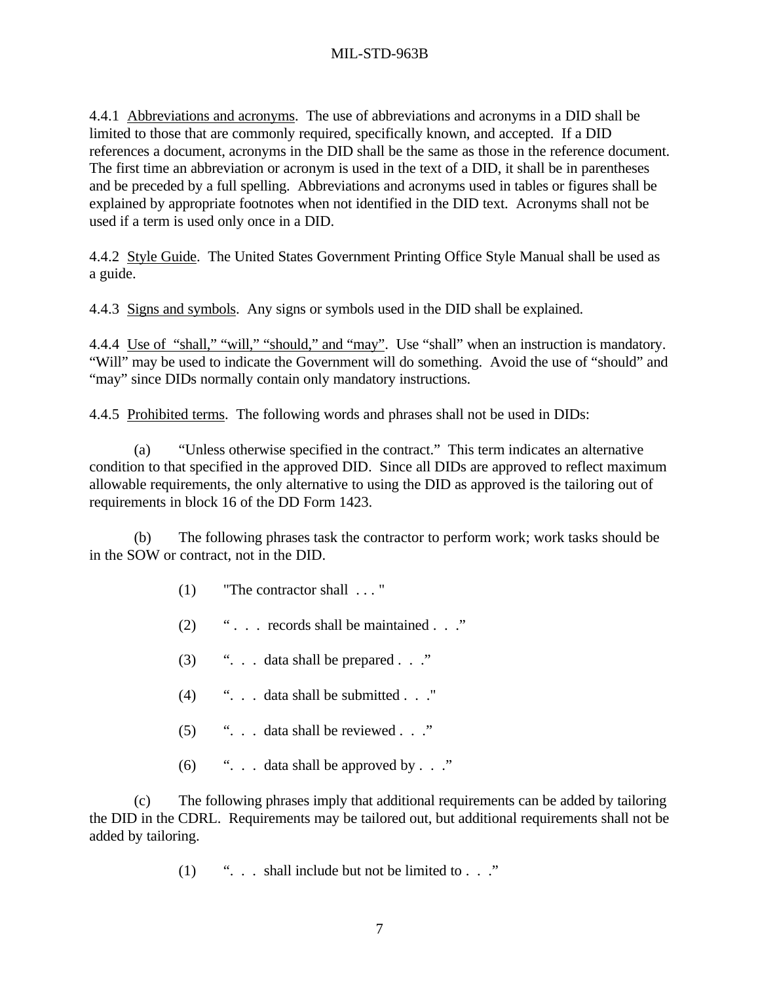4.4.1 Abbreviations and acronyms. The use of abbreviations and acronyms in a DID shall be limited to those that are commonly required, specifically known, and accepted. If a DID references a document, acronyms in the DID shall be the same as those in the reference document. The first time an abbreviation or acronym is used in the text of a DID, it shall be in parentheses and be preceded by a full spelling. Abbreviations and acronyms used in tables or figures shall be explained by appropriate footnotes when not identified in the DID text. Acronyms shall not be used if a term is used only once in a DID.

4.4.2 Style Guide. The United States Government Printing Office Style Manual shall be used as a guide.

4.4.3 Signs and symbols. Any signs or symbols used in the DID shall be explained.

4.4.4 Use of "shall," "will," "should," and "may". Use "shall" when an instruction is mandatory. "Will" may be used to indicate the Government will do something. Avoid the use of "should" and "may" since DIDs normally contain only mandatory instructions.

4.4.5 Prohibited terms. The following words and phrases shall not be used in DIDs:

(a) "Unless otherwise specified in the contract." This term indicates an alternative condition to that specified in the approved DID. Since all DIDs are approved to reflect maximum allowable requirements, the only alternative to using the DID as approved is the tailoring out of requirements in block 16 of the DD Form 1423.

(b) The following phrases task the contractor to perform work; work tasks should be in the SOW or contract, not in the DID.

- (1) "The contractor shall . . . "
- (2) " . . . records shall be maintained . . ."
- (3) ". . . data shall be prepared . . ."
- (4) ". . . data shall be submitted . . ."
- (5)  $\ldots$  data shall be reviewed . . ."
- (6)  $\ldots$  . . . data shall be approved by . . ."

(c) The following phrases imply that additional requirements can be added by tailoring the DID in the CDRL. Requirements may be tailored out, but additional requirements shall not be added by tailoring.

(1)  $\ldots$  shall include but not be limited to  $\ldots$  ."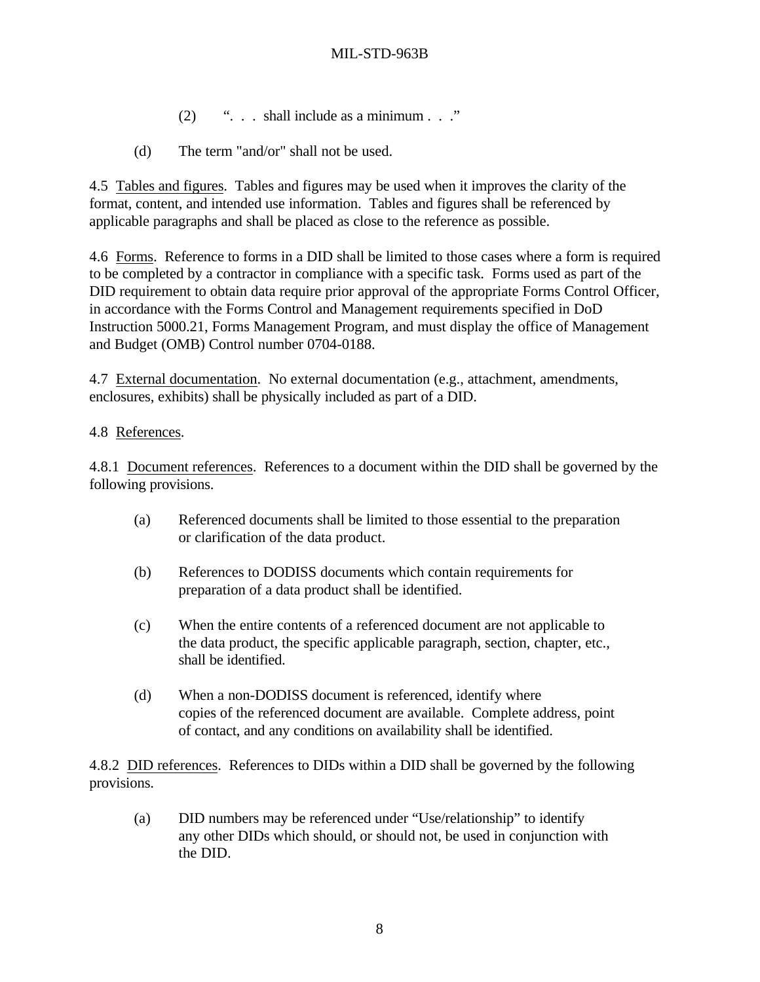- (2)  $\ldots$  shall include as a minimum  $\ldots$  ."
- (d) The term "and/or" shall not be used.

4.5 Tables and figures. Tables and figures may be used when it improves the clarity of the format, content, and intended use information. Tables and figures shall be referenced by applicable paragraphs and shall be placed as close to the reference as possible.

4.6 Forms. Reference to forms in a DID shall be limited to those cases where a form is required to be completed by a contractor in compliance with a specific task. Forms used as part of the DID requirement to obtain data require prior approval of the appropriate Forms Control Officer, in accordance with the Forms Control and Management requirements specified in DoD Instruction 5000.21, Forms Management Program, and must display the office of Management and Budget (OMB) Control number 0704-0188.

4.7 External documentation. No external documentation (e.g., attachment, amendments, enclosures, exhibits) shall be physically included as part of a DID.

## 4.8 References.

4.8.1 Document references. References to a document within the DID shall be governed by the following provisions.

- (a) Referenced documents shall be limited to those essential to the preparation or clarification of the data product.
- (b) References to DODISS documents which contain requirements for preparation of a data product shall be identified.
- (c) When the entire contents of a referenced document are not applicable to the data product, the specific applicable paragraph, section, chapter, etc., shall be identified.
- (d) When a non-DODISS document is referenced, identify where copies of the referenced document are available. Complete address, point of contact, and any conditions on availability shall be identified.

4.8.2 DID references. References to DIDs within a DID shall be governed by the following provisions.

(a) DID numbers may be referenced under "Use/relationship" to identify any other DIDs which should, or should not, be used in conjunction with the DID.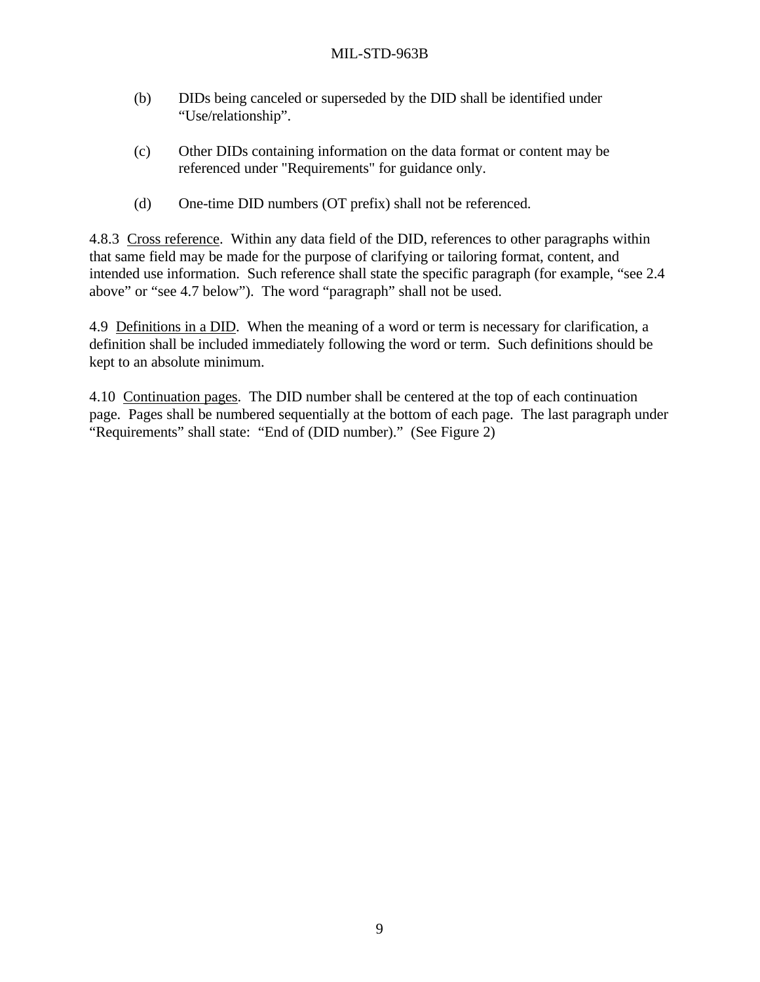- (b) DIDs being canceled or superseded by the DID shall be identified under "Use/relationship".
- (c) Other DIDs containing information on the data format or content may be referenced under "Requirements" for guidance only.
- (d) One-time DID numbers (OT prefix) shall not be referenced.

4.8.3 Cross reference. Within any data field of the DID, references to other paragraphs within that same field may be made for the purpose of clarifying or tailoring format, content, and intended use information. Such reference shall state the specific paragraph (for example, "see 2.4 above" or "see 4.7 below"). The word "paragraph" shall not be used.

4.9 Definitions in a DID. When the meaning of a word or term is necessary for clarification, a definition shall be included immediately following the word or term. Such definitions should be kept to an absolute minimum.

4.10 Continuation pages. The DID number shall be centered at the top of each continuation page. Pages shall be numbered sequentially at the bottom of each page. The last paragraph under "Requirements" shall state: "End of (DID number)." (See Figure 2)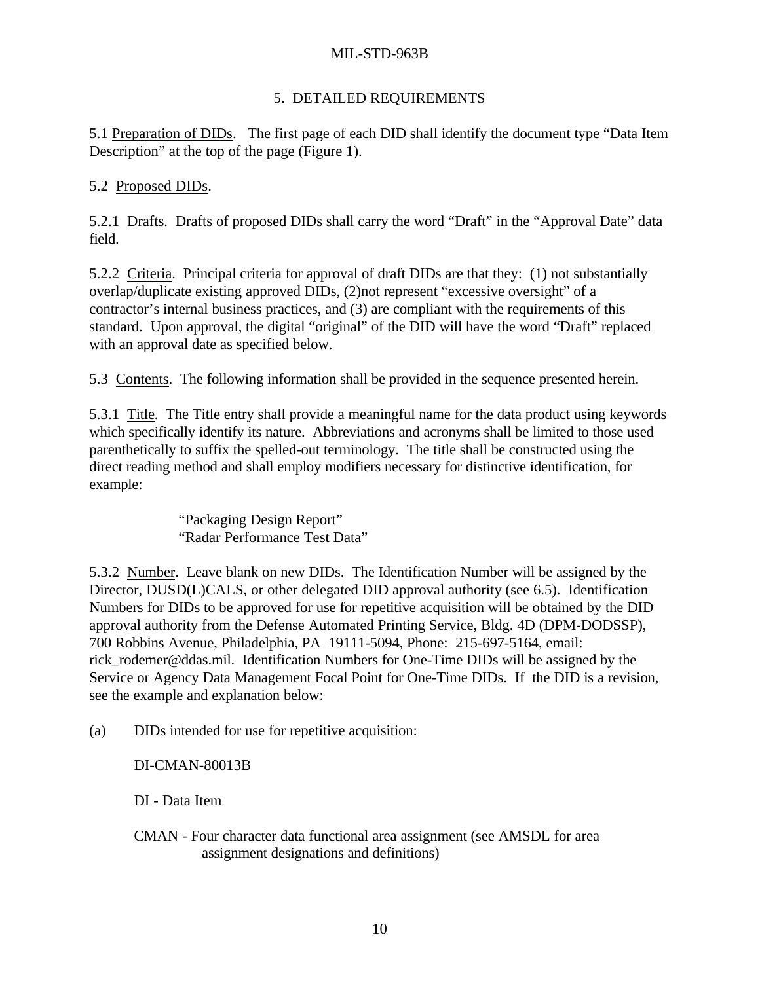## 5. DETAILED REQUIREMENTS

5.1 Preparation of DIDs. The first page of each DID shall identify the document type "Data Item Description" at the top of the page (Figure 1).

## 5.2 Proposed DIDs.

5.2.1 Drafts. Drafts of proposed DIDs shall carry the word "Draft" in the "Approval Date" data field.

5.2.2 Criteria. Principal criteria for approval of draft DIDs are that they: (1) not substantially overlap/duplicate existing approved DIDs, (2)not represent "excessive oversight" of a contractor's internal business practices, and (3) are compliant with the requirements of this standard. Upon approval, the digital "original" of the DID will have the word "Draft" replaced with an approval date as specified below.

5.3 Contents. The following information shall be provided in the sequence presented herein.

5.3.1 Title. The Title entry shall provide a meaningful name for the data product using keywords which specifically identify its nature. Abbreviations and acronyms shall be limited to those used parenthetically to suffix the spelled-out terminology. The title shall be constructed using the direct reading method and shall employ modifiers necessary for distinctive identification, for example:

> "Packaging Design Report" "Radar Performance Test Data"

5.3.2 Number. Leave blank on new DIDs. The Identification Number will be assigned by the Director, DUSD(L)CALS, or other delegated DID approval authority (see 6.5). Identification Numbers for DIDs to be approved for use for repetitive acquisition will be obtained by the DID approval authority from the Defense Automated Printing Service, Bldg. 4D (DPM-DODSSP), 700 Robbins Avenue, Philadelphia, PA 19111-5094, Phone: 215-697-5164, email: rick rodemer@ddas.mil. Identification Numbers for One-Time DIDs will be assigned by the Service or Agency Data Management Focal Point for One-Time DIDs. If the DID is a revision, see the example and explanation below:

(a) DIDs intended for use for repetitive acquisition:

DI-CMAN-80013B

DI - Data Item

CMAN - Four character data functional area assignment (see AMSDL for area assignment designations and definitions)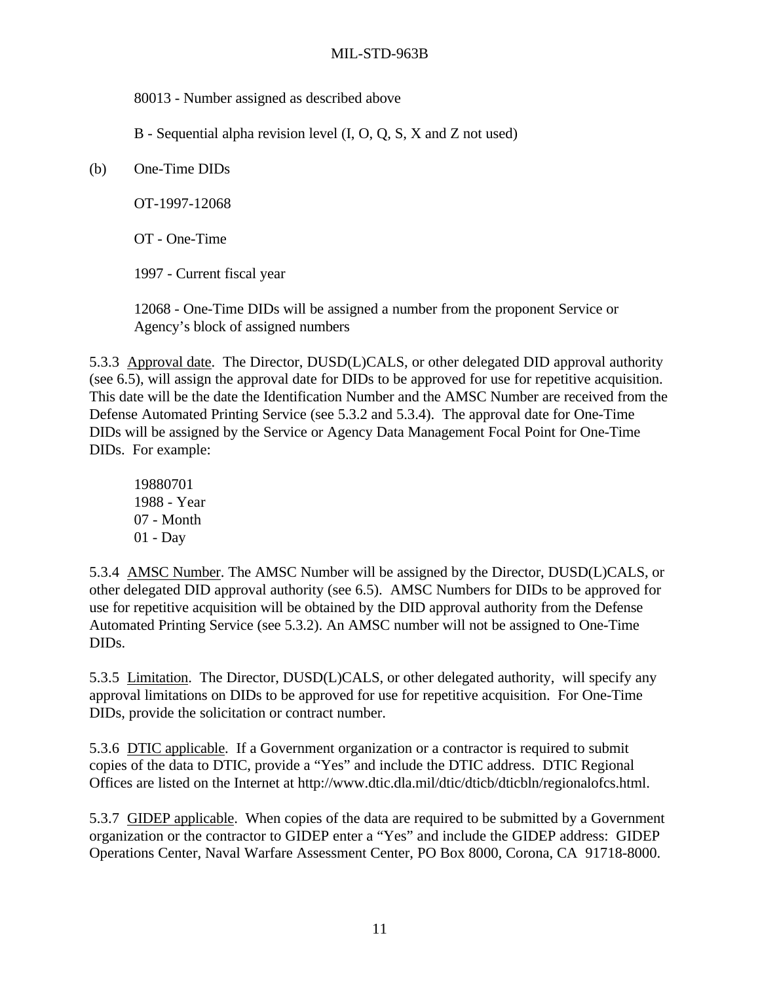80013 - Number assigned as described above

B - Sequential alpha revision level (I, O, Q, S, X and Z not used)

(b) One-Time DIDs

OT-1997-12068

OT - One-Time

1997 - Current fiscal year

12068 - One-Time DIDs will be assigned a number from the proponent Service or Agency's block of assigned numbers

5.3.3 Approval date. The Director, DUSD(L)CALS, or other delegated DID approval authority (see 6.5), will assign the approval date for DIDs to be approved for use for repetitive acquisition. This date will be the date the Identification Number and the AMSC Number are received from the Defense Automated Printing Service (see 5.3.2 and 5.3.4). The approval date for One-Time DIDs will be assigned by the Service or Agency Data Management Focal Point for One-Time DIDs. For example:

19880701 1988 - Year 07 - Month 01 - Day

5.3.4 AMSC Number. The AMSC Number will be assigned by the Director, DUSD(L)CALS, or other delegated DID approval authority (see 6.5). AMSC Numbers for DIDs to be approved for use for repetitive acquisition will be obtained by the DID approval authority from the Defense Automated Printing Service (see 5.3.2). An AMSC number will not be assigned to One-Time DIDs.

5.3.5 Limitation. The Director, DUSD(L)CALS, or other delegated authority, will specify any approval limitations on DIDs to be approved for use for repetitive acquisition. For One-Time DIDs, provide the solicitation or contract number.

5.3.6 DTIC applicable. If a Government organization or a contractor is required to submit copies of the data to DTIC, provide a "Yes" and include the DTIC address. DTIC Regional Offices are listed on the Internet at http://www.dtic.dla.mil/dtic/dticb/dticbln/regionalofcs.html.

5.3.7 GIDEP applicable. When copies of the data are required to be submitted by a Government organization or the contractor to GIDEP enter a "Yes" and include the GIDEP address: GIDEP Operations Center, Naval Warfare Assessment Center, PO Box 8000, Corona, CA 91718-8000.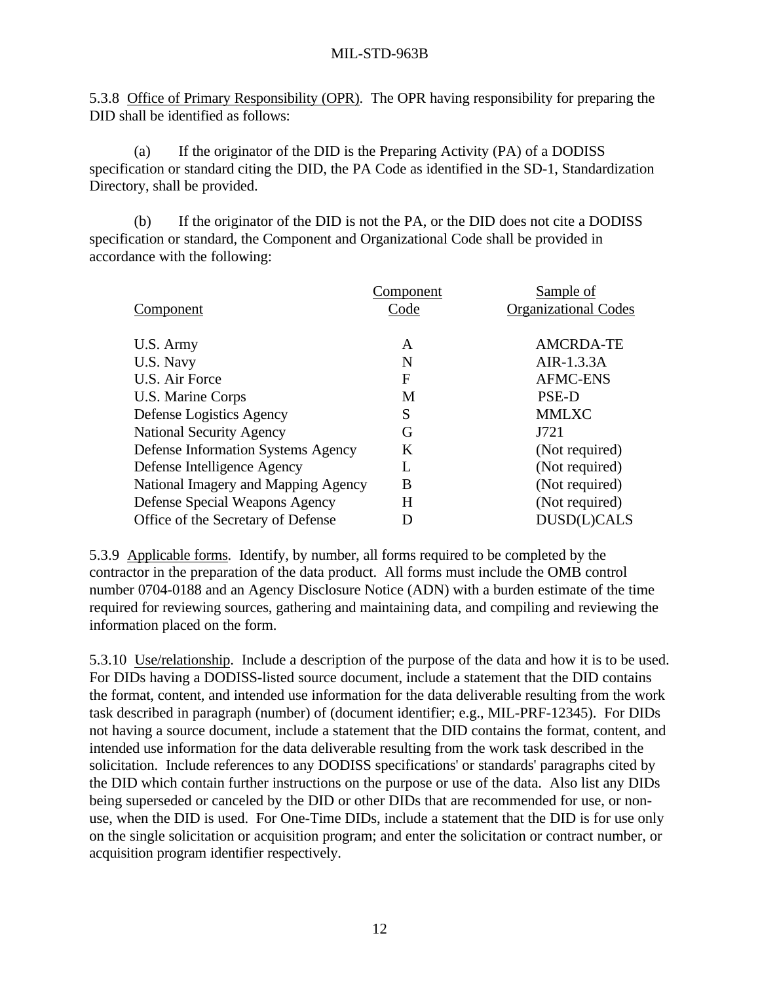5.3.8 Office of Primary Responsibility (OPR). The OPR having responsibility for preparing the DID shall be identified as follows:

(a) If the originator of the DID is the Preparing Activity (PA) of a DODISS specification or standard citing the DID, the PA Code as identified in the SD-1, Standardization Directory, shall be provided.

(b) If the originator of the DID is not the PA, or the DID does not cite a DODISS specification or standard, the Component and Organizational Code shall be provided in accordance with the following:

|                                           | Component | Sample of                   |
|-------------------------------------------|-----------|-----------------------------|
| Component                                 | Code      | <b>Organizational Codes</b> |
|                                           |           |                             |
| U.S. Army                                 | A         | <b>AMCRDA-TE</b>            |
| U.S. Navy                                 | N         | AIR- $1.3.3A$               |
| U.S. Air Force                            | F         | <b>AFMC-ENS</b>             |
| U.S. Marine Corps                         | M         | PSE-D                       |
| Defense Logistics Agency                  | S         | <b>MMLXC</b>                |
| <b>National Security Agency</b>           | G         | J721                        |
| <b>Defense Information Systems Agency</b> | K         | (Not required)              |
| Defense Intelligence Agency               | L         | (Not required)              |
| National Imagery and Mapping Agency       | B         | (Not required)              |
| Defense Special Weapons Agency            | Н         | (Not required)              |
| Office of the Secretary of Defense        |           | DUSD(L)CALS                 |

5.3.9 Applicable forms. Identify, by number, all forms required to be completed by the contractor in the preparation of the data product. All forms must include the OMB control number 0704-0188 and an Agency Disclosure Notice (ADN) with a burden estimate of the time required for reviewing sources, gathering and maintaining data, and compiling and reviewing the information placed on the form.

5.3.10 Use/relationship. Include a description of the purpose of the data and how it is to be used. For DIDs having a DODISS-listed source document, include a statement that the DID contains the format, content, and intended use information for the data deliverable resulting from the work task described in paragraph (number) of (document identifier; e.g., MIL-PRF-12345). For DIDs not having a source document, include a statement that the DID contains the format, content, and intended use information for the data deliverable resulting from the work task described in the solicitation. Include references to any DODISS specifications' or standards' paragraphs cited by the DID which contain further instructions on the purpose or use of the data. Also list any DIDs being superseded or canceled by the DID or other DIDs that are recommended for use, or nonuse, when the DID is used. For One-Time DIDs, include a statement that the DID is for use only on the single solicitation or acquisition program; and enter the solicitation or contract number, or acquisition program identifier respectively.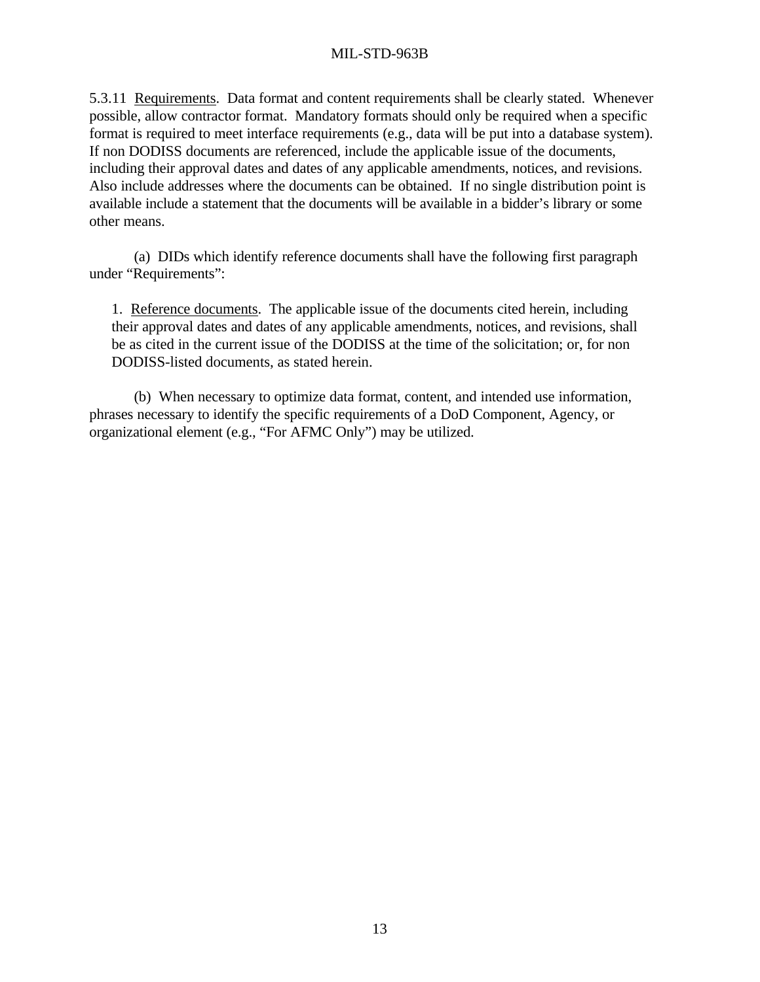5.3.11 Requirements. Data format and content requirements shall be clearly stated. Whenever possible, allow contractor format. Mandatory formats should only be required when a specific format is required to meet interface requirements (e.g., data will be put into a database system). If non DODISS documents are referenced, include the applicable issue of the documents, including their approval dates and dates of any applicable amendments, notices, and revisions. Also include addresses where the documents can be obtained. If no single distribution point is available include a statement that the documents will be available in a bidder's library or some other means.

(a) DIDs which identify reference documents shall have the following first paragraph under "Requirements":

1. Reference documents. The applicable issue of the documents cited herein, including their approval dates and dates of any applicable amendments, notices, and revisions, shall be as cited in the current issue of the DODISS at the time of the solicitation; or, for non DODISS-listed documents, as stated herein.

(b) When necessary to optimize data format, content, and intended use information, phrases necessary to identify the specific requirements of a DoD Component, Agency, or organizational element (e.g., "For AFMC Only") may be utilized.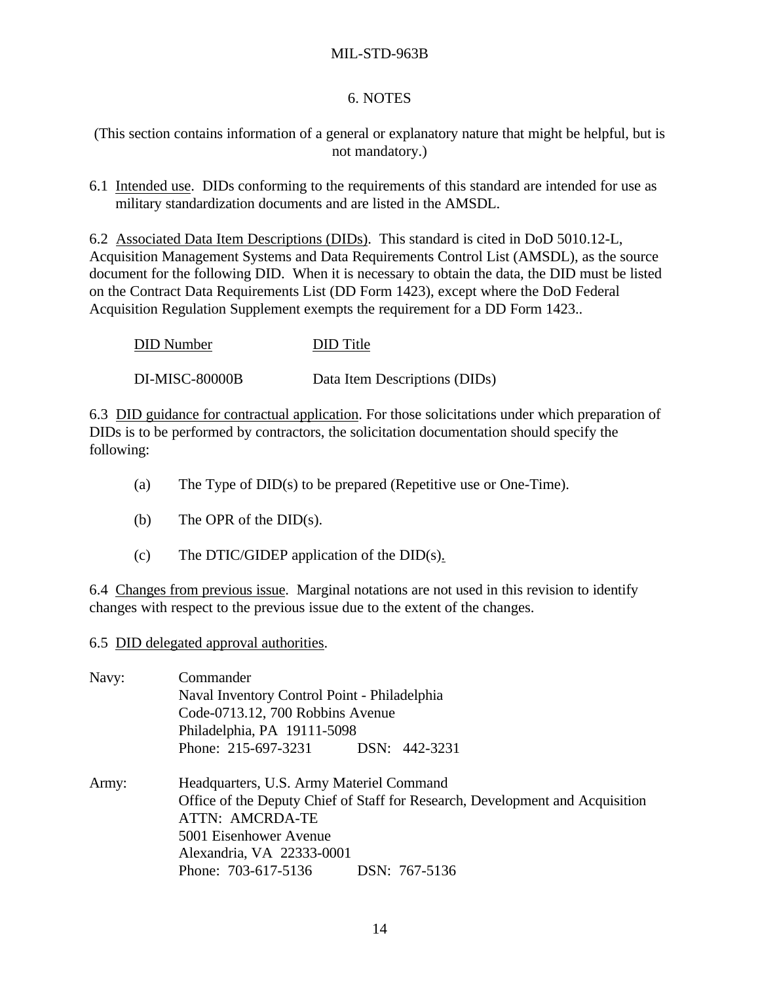## 6. NOTES

(This section contains information of a general or explanatory nature that might be helpful, but is not mandatory.)

6.1 Intended use. DIDs conforming to the requirements of this standard are intended for use as military standardization documents and are listed in the AMSDL.

6.2 Associated Data Item Descriptions (DIDs). This standard is cited in DoD 5010.12-L, Acquisition Management Systems and Data Requirements Control List (AMSDL), as the source document for the following DID. When it is necessary to obtain the data, the DID must be listed on the Contract Data Requirements List (DD Form 1423), except where the DoD Federal Acquisition Regulation Supplement exempts the requirement for a DD Form 1423..

| <b>DID</b> Number     | DID Title                     |
|-----------------------|-------------------------------|
| <b>DI-MISC-80000B</b> | Data Item Descriptions (DIDs) |

6.3 DID guidance for contractual application. For those solicitations under which preparation of DIDs is to be performed by contractors, the solicitation documentation should specify the following:

- (a) The Type of DID(s) to be prepared (Repetitive use or One-Time).
- (b) The OPR of the DID(s).
- (c) The DTIC/GIDEP application of the  $DID(s)$ .

6.4 Changes from previous issue. Marginal notations are not used in this revision to identify changes with respect to the previous issue due to the extent of the changes.

6.5 DID delegated approval authorities.

| Navy: | Commander                                                                     |  |  |  |
|-------|-------------------------------------------------------------------------------|--|--|--|
|       | Naval Inventory Control Point - Philadelphia                                  |  |  |  |
|       | Code-0713.12, 700 Robbins Avenue                                              |  |  |  |
|       | Philadelphia, PA 19111-5098                                                   |  |  |  |
|       | Phone: 215-697-3231 DSN: 442-3231                                             |  |  |  |
| Army: | Headquarters, U.S. Army Materiel Command                                      |  |  |  |
|       | Office of the Deputy Chief of Staff for Research, Development and Acquisition |  |  |  |
|       | <b>ATTN: AMCRDA-TE</b>                                                        |  |  |  |
|       | 5001 Eisenhower Avenue                                                        |  |  |  |
|       | Alexandria, VA 22333-0001                                                     |  |  |  |
|       | Phone: 703-617-5136<br>DSN: 767-5136                                          |  |  |  |
|       |                                                                               |  |  |  |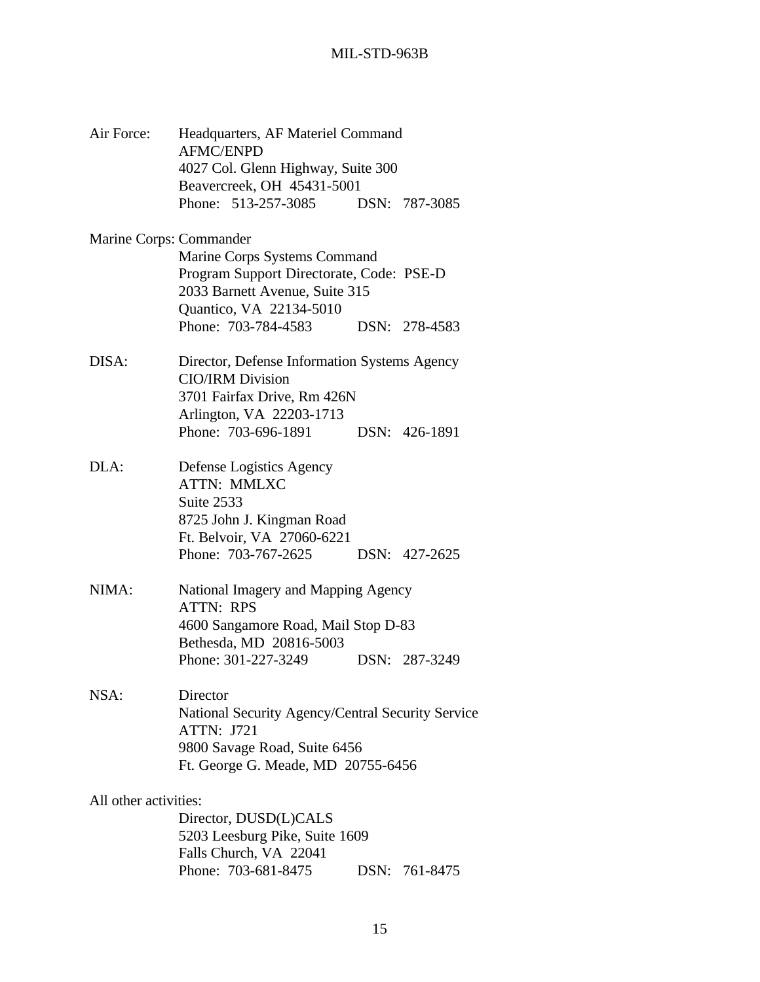| Air Force:              | Headquarters, AF Materiel Command<br><b>AFMC/ENPD</b>                                                                                                    |  |               |  |
|-------------------------|----------------------------------------------------------------------------------------------------------------------------------------------------------|--|---------------|--|
|                         | 4027 Col. Glenn Highway, Suite 300<br>Beavercreek, OH 45431-5001                                                                                         |  |               |  |
|                         | Phone: 513-257-3085 DSN: 787-3085                                                                                                                        |  |               |  |
| Marine Corps: Commander |                                                                                                                                                          |  |               |  |
|                         | Marine Corps Systems Command<br>Program Support Directorate, Code: PSE-D<br>2033 Barnett Avenue, Suite 315                                               |  |               |  |
|                         | Quantico, VA 22134-5010<br>Phone: 703-784-4583                                                                                                           |  | DSN: 278-4583 |  |
| DISA:                   | Director, Defense Information Systems Agency<br><b>CIO/IRM Division</b><br>3701 Fairfax Drive, Rm 426N                                                   |  |               |  |
|                         | Arlington, VA 22203-1713<br>Phone: 703-696-1891                                                                                                          |  | DSN: 426-1891 |  |
| DLA:                    | Defense Logistics Agency<br><b>ATTN: MMLXC</b><br>Suite 2533<br>8725 John J. Kingman Road<br>Ft. Belvoir, VA 27060-6221                                  |  |               |  |
|                         | Phone: 703-767-2625                                                                                                                                      |  | DSN: 427-2625 |  |
| NIMA:                   | National Imagery and Mapping Agency<br><b>ATTN: RPS</b>                                                                                                  |  |               |  |
|                         | 4600 Sangamore Road, Mail Stop D-83<br>Bethesda, MD 20816-5003                                                                                           |  |               |  |
|                         | Phone: 301-227-3249                                                                                                                                      |  | DSN: 287-3249 |  |
| NSA:                    | Director<br>National Security Agency/Central Security Service<br><b>ATTN: J721</b><br>9800 Savage Road, Suite 6456<br>Ft. George G. Meade, MD 20755-6456 |  |               |  |
| All other activities:   |                                                                                                                                                          |  |               |  |
|                         | Director, DUSD(L)CALS<br>5203 Leesburg Pike, Suite 1609<br>Falls Church, VA 22041                                                                        |  |               |  |
|                         | Phone: 703-681-8475                                                                                                                                      |  | DSN: 761-8475 |  |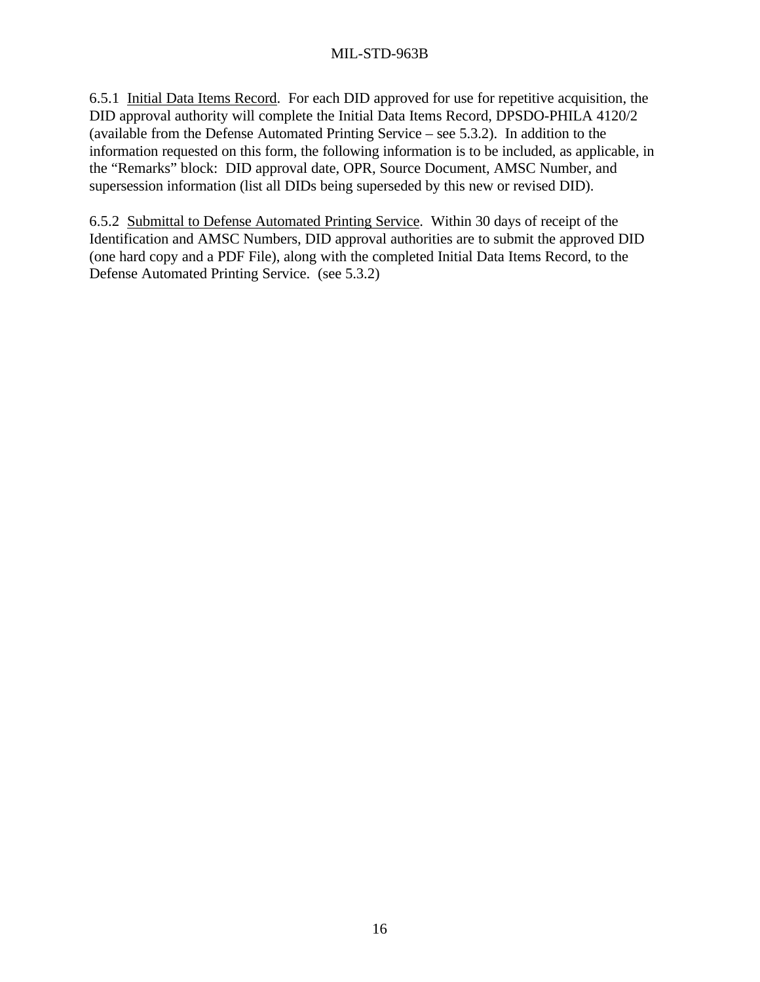6.5.1 Initial Data Items Record. For each DID approved for use for repetitive acquisition, the DID approval authority will complete the Initial Data Items Record, DPSDO-PHILA 4120/2 (available from the Defense Automated Printing Service – see 5.3.2). In addition to the information requested on this form, the following information is to be included, as applicable, in the "Remarks" block: DID approval date, OPR, Source Document, AMSC Number, and supersession information (list all DIDs being superseded by this new or revised DID).

6.5.2 Submittal to Defense Automated Printing Service. Within 30 days of receipt of the Identification and AMSC Numbers, DID approval authorities are to submit the approved DID (one hard copy and a PDF File), along with the completed Initial Data Items Record, to the Defense Automated Printing Service. (see 5.3.2)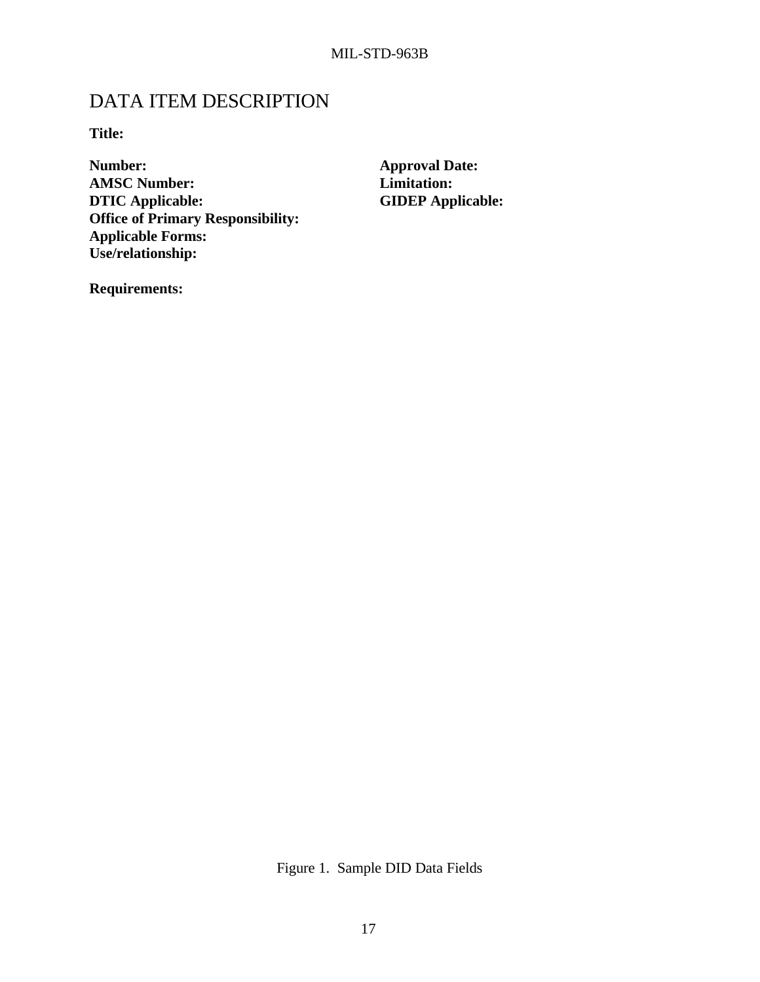## DATA ITEM DESCRIPTION

**Title:**

**Number: Approval Date: AMSC Number: Limitation: DTIC Applicable: GIDEP Applicable: Office of Primary Responsibility: Applicable Forms: Use/relationship:**

**Requirements:**

Figure 1. Sample DID Data Fields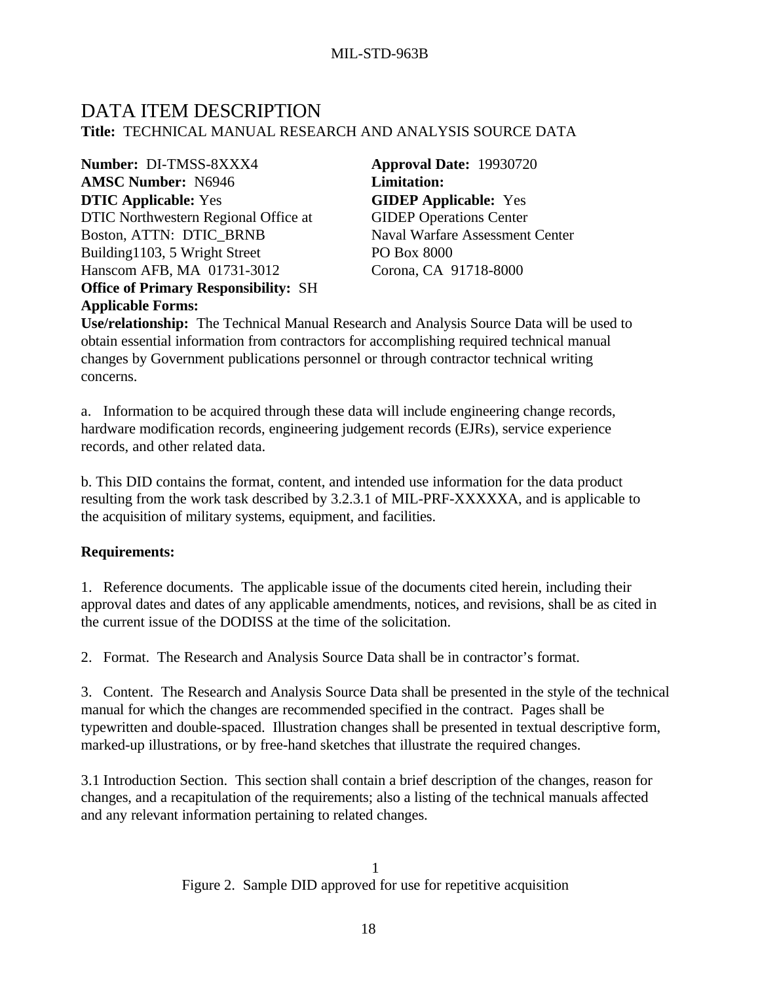## DATA ITEM DESCRIPTION **Title:** TECHNICAL MANUAL RESEARCH AND ANALYSIS SOURCE DATA

**Number:** DI-TMSS-8XXX4 **Approval Date:** 19930720 **AMSC Number:** N6946 **Limitation: DTIC Applicable:** Yes DTIC Northwestern Regional Office at Boston, ATTN: DTIC\_BRNB Building1103, 5 Wright Street Hanscom AFB, MA 01731-3012 **Office of Primary Responsibility:** SH **Applicable Forms:**

**GIDEP Applicable:** Yes GIDEP Operations Center Naval Warfare Assessment Center PO Box 8000 Corona, CA 91718-8000

**Use/relationship:** The Technical Manual Research and Analysis Source Data will be used to obtain essential information from contractors for accomplishing required technical manual changes by Government publications personnel or through contractor technical writing concerns.

a. Information to be acquired through these data will include engineering change records, hardware modification records, engineering judgement records (EJRs), service experience records, and other related data.

b. This DID contains the format, content, and intended use information for the data product resulting from the work task described by 3.2.3.1 of MIL-PRF-XXXXXA, and is applicable to the acquisition of military systems, equipment, and facilities.

## **Requirements:**

1. Reference documents. The applicable issue of the documents cited herein, including their approval dates and dates of any applicable amendments, notices, and revisions, shall be as cited in the current issue of the DODISS at the time of the solicitation.

2. Format. The Research and Analysis Source Data shall be in contractor's format.

3. Content. The Research and Analysis Source Data shall be presented in the style of the technical manual for which the changes are recommended specified in the contract. Pages shall be typewritten and double-spaced. Illustration changes shall be presented in textual descriptive form, marked-up illustrations, or by free-hand sketches that illustrate the required changes.

3.1 Introduction Section. This section shall contain a brief description of the changes, reason for changes, and a recapitulation of the requirements; also a listing of the technical manuals affected and any relevant information pertaining to related changes.

> 1 Figure 2. Sample DID approved for use for repetitive acquisition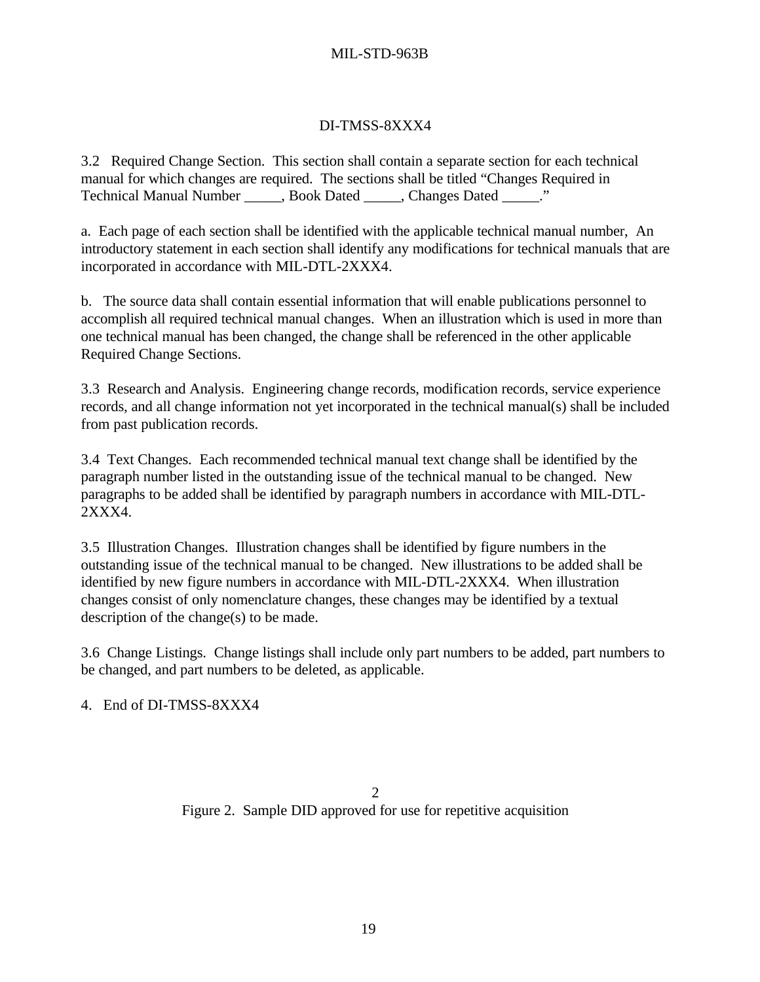## DI-TMSS-8XXX4

3.2 Required Change Section. This section shall contain a separate section for each technical manual for which changes are required. The sections shall be titled "Changes Required in Technical Manual Number \_\_\_\_\_, Book Dated \_\_\_\_\_, Changes Dated \_\_\_\_\_."

a. Each page of each section shall be identified with the applicable technical manual number, An introductory statement in each section shall identify any modifications for technical manuals that are incorporated in accordance with MIL-DTL-2XXX4.

b. The source data shall contain essential information that will enable publications personnel to accomplish all required technical manual changes. When an illustration which is used in more than one technical manual has been changed, the change shall be referenced in the other applicable Required Change Sections.

3.3 Research and Analysis. Engineering change records, modification records, service experience records, and all change information not yet incorporated in the technical manual(s) shall be included from past publication records.

3.4 Text Changes. Each recommended technical manual text change shall be identified by the paragraph number listed in the outstanding issue of the technical manual to be changed. New paragraphs to be added shall be identified by paragraph numbers in accordance with MIL-DTL-2XXX4.

3.5 Illustration Changes. Illustration changes shall be identified by figure numbers in the outstanding issue of the technical manual to be changed. New illustrations to be added shall be identified by new figure numbers in accordance with MIL-DTL-2XXX4. When illustration changes consist of only nomenclature changes, these changes may be identified by a textual description of the change(s) to be made.

3.6 Change Listings. Change listings shall include only part numbers to be added, part numbers to be changed, and part numbers to be deleted, as applicable.

4. End of DI-TMSS-8XXX4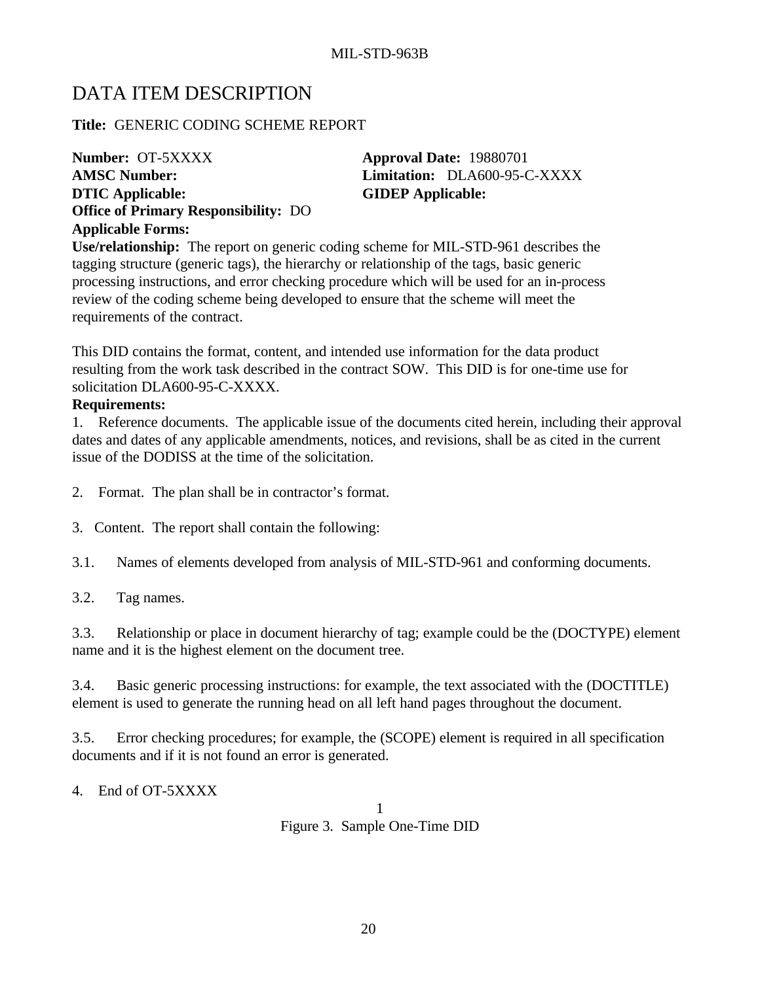## DATA ITEM DESCRIPTION

**Title:** GENERIC CODING SCHEME REPORT

**Number: OT-5XXXX Approval Date: 19880701 AMSC Number: Limitation:** DLA600-95-C-XXXX **DTIC Applicable: GIDEP Applicable: Office of Primary Responsibility:** DO **Applicable Forms:**

**Use/relationship:** The report on generic coding scheme for MIL-STD-961 describes the tagging structure (generic tags), the hierarchy or relationship of the tags, basic generic processing instructions, and error checking procedure which will be used for an in-process review of the coding scheme being developed to ensure that the scheme will meet the requirements of the contract.

This DID contains the format, content, and intended use information for the data product resulting from the work task described in the contract SOW. This DID is for one-time use for solicitation DLA600-95-C-XXXX.

## **Requirements:**

1. Reference documents. The applicable issue of the documents cited herein, including their approval dates and dates of any applicable amendments, notices, and revisions, shall be as cited in the current issue of the DODISS at the time of the solicitation.

- 2. Format. The plan shall be in contractor's format.
- 3. Content. The report shall contain the following:
- 3.1. Names of elements developed from analysis of MIL-STD-961 and conforming documents.
- 3.2. Tag names.

3.3. Relationship or place in document hierarchy of tag; example could be the (DOCTYPE) element name and it is the highest element on the document tree.

3.4. Basic generic processing instructions: for example, the text associated with the (DOCTITLE) element is used to generate the running head on all left hand pages throughout the document.

3.5. Error checking procedures; for example, the (SCOPE) element is required in all specification documents and if it is not found an error is generated.

4. End of OT-5XXXX

1 Figure 3. Sample One-Time DID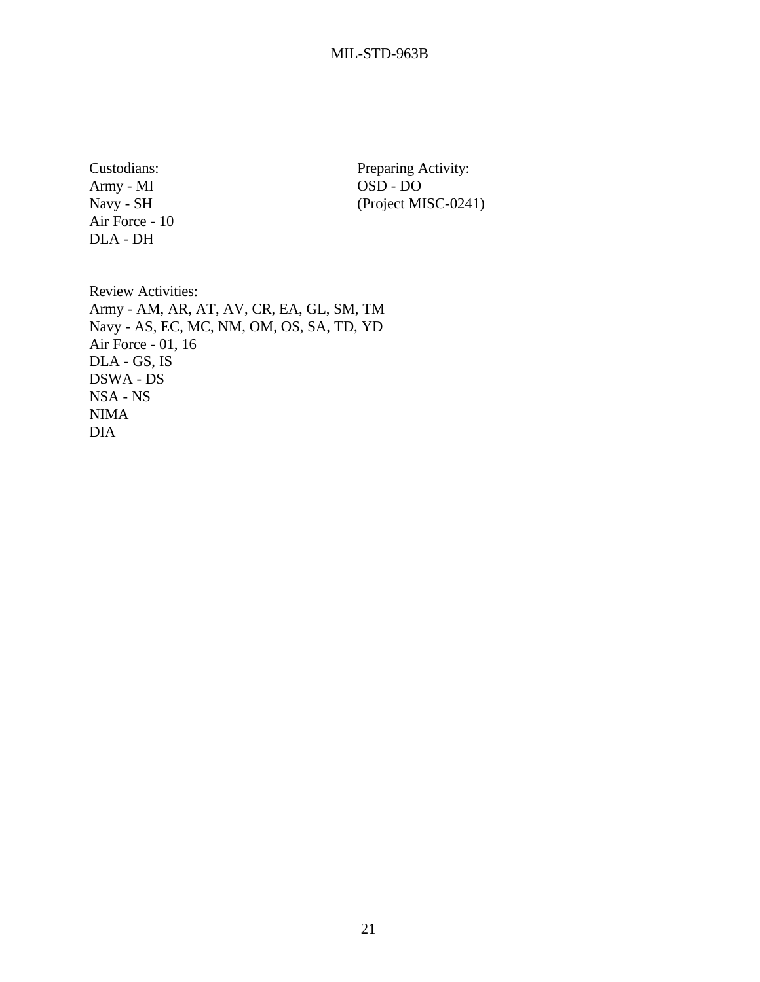Army - MI OSD - DO Air Force - 10 DLA - DH

Custodians: Preparing Activity: Navy - SH (Project MISC-0241)

Review Activities: Army - AM, AR, AT, AV, CR, EA, GL, SM, TM Navy - AS, EC, MC, NM, OM, OS, SA, TD, YD Air Force - 01, 16 DLA - GS, IS DSWA - DS NSA - NS NIMA DIA